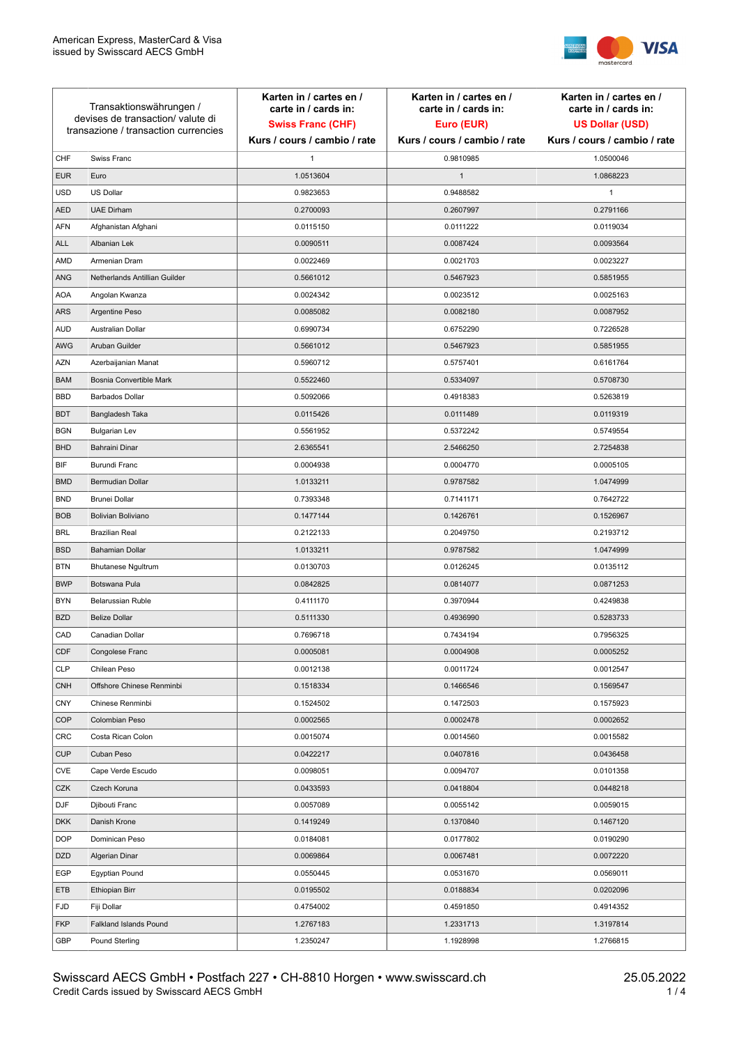

| Transaktionswährungen /<br>devises de transaction/valute di<br>transazione / transaction currencies |                               | Karten in / cartes en /<br>carte in / cards in:<br><b>Swiss Franc (CHF)</b> | Karten in / cartes en /<br>carte in / cards in:<br>Euro (EUR) | Karten in / cartes en /<br>carte in / cards in:<br><b>US Dollar (USD)</b> |
|-----------------------------------------------------------------------------------------------------|-------------------------------|-----------------------------------------------------------------------------|---------------------------------------------------------------|---------------------------------------------------------------------------|
|                                                                                                     |                               | Kurs / cours / cambio / rate                                                | Kurs / cours / cambio / rate                                  | Kurs / cours / cambio / rate                                              |
| CHF                                                                                                 | Swiss Franc                   | 1                                                                           | 0.9810985                                                     | 1.0500046                                                                 |
| <b>EUR</b>                                                                                          | Euro                          | 1.0513604                                                                   | $\mathbf{1}$                                                  | 1.0868223                                                                 |
| <b>USD</b>                                                                                          | US Dollar                     | 0.9823653                                                                   | 0.9488582                                                     | $\mathbf{1}$                                                              |
| <b>AED</b>                                                                                          | <b>UAE Dirham</b>             | 0.2700093                                                                   | 0.2607997                                                     | 0.2791166                                                                 |
| <b>AFN</b>                                                                                          | Afghanistan Afghani           | 0.0115150                                                                   | 0.0111222                                                     | 0.0119034                                                                 |
| ALL                                                                                                 | Albanian Lek                  | 0.0090511                                                                   | 0.0087424                                                     | 0.0093564                                                                 |
| AMD                                                                                                 | Armenian Dram                 | 0.0022469                                                                   | 0.0021703                                                     | 0.0023227                                                                 |
| ANG                                                                                                 | Netherlands Antillian Guilder | 0.5661012                                                                   | 0.5467923                                                     | 0.5851955                                                                 |
| <b>AOA</b>                                                                                          | Angolan Kwanza                | 0.0024342                                                                   | 0.0023512                                                     | 0.0025163                                                                 |
| ARS                                                                                                 | Argentine Peso                | 0.0085082                                                                   | 0.0082180                                                     | 0.0087952                                                                 |
| <b>AUD</b>                                                                                          | Australian Dollar             | 0.6990734                                                                   | 0.6752290                                                     | 0.7226528                                                                 |
| AWG                                                                                                 | Aruban Guilder                | 0.5661012                                                                   | 0.5467923                                                     | 0.5851955                                                                 |
| AZN                                                                                                 | Azerbaijanian Manat           | 0.5960712                                                                   | 0.5757401                                                     | 0.6161764                                                                 |
| <b>BAM</b>                                                                                          | Bosnia Convertible Mark       | 0.5522460                                                                   | 0.5334097                                                     | 0.5708730                                                                 |
| <b>BBD</b>                                                                                          | <b>Barbados Dollar</b>        | 0.5092066                                                                   | 0.4918383                                                     | 0.5263819                                                                 |
| <b>BDT</b>                                                                                          | Bangladesh Taka               | 0.0115426                                                                   | 0.0111489                                                     | 0.0119319                                                                 |
| <b>BGN</b>                                                                                          | <b>Bulgarian Lev</b>          | 0.5561952                                                                   | 0.5372242                                                     | 0.5749554                                                                 |
| <b>BHD</b>                                                                                          | Bahraini Dinar                | 2.6365541                                                                   | 2.5466250                                                     | 2.7254838                                                                 |
| BIF                                                                                                 | Burundi Franc                 | 0.0004938                                                                   | 0.0004770                                                     | 0.0005105                                                                 |
| <b>BMD</b>                                                                                          | Bermudian Dollar              | 1.0133211                                                                   | 0.9787582                                                     | 1.0474999                                                                 |
| <b>BND</b>                                                                                          | <b>Brunei Dollar</b>          | 0.7393348                                                                   | 0.7141171                                                     | 0.7642722                                                                 |
| <b>BOB</b>                                                                                          | Bolivian Boliviano            | 0.1477144                                                                   | 0.1426761                                                     | 0.1526967                                                                 |
| <b>BRL</b>                                                                                          | <b>Brazilian Real</b>         | 0.2122133                                                                   | 0.2049750                                                     | 0.2193712                                                                 |
| <b>BSD</b>                                                                                          | <b>Bahamian Dollar</b>        | 1.0133211                                                                   | 0.9787582                                                     | 1.0474999                                                                 |
| <b>BTN</b>                                                                                          | <b>Bhutanese Ngultrum</b>     | 0.0130703                                                                   | 0.0126245                                                     | 0.0135112                                                                 |
| <b>BWP</b>                                                                                          | Botswana Pula                 | 0.0842825                                                                   | 0.0814077                                                     | 0.0871253                                                                 |
| <b>BYN</b>                                                                                          | Belarussian Ruble             | 0.4111170                                                                   | 0.3970944                                                     | 0.4249838                                                                 |
| <b>BZD</b>                                                                                          | <b>Belize Dollar</b>          | 0.5111330                                                                   | 0.4936990                                                     | 0.5283733                                                                 |
| CAD                                                                                                 | Canadian Dollar               | 0.7696718                                                                   | 0.7434194                                                     | 0.7956325                                                                 |
| CDF                                                                                                 | Congolese Franc               | 0.0005081                                                                   | 0.0004908                                                     | 0.0005252                                                                 |
| <b>CLP</b>                                                                                          | Chilean Peso                  | 0.0012138                                                                   | 0.0011724                                                     | 0.0012547                                                                 |
| <b>CNH</b>                                                                                          | Offshore Chinese Renminbi     | 0.1518334                                                                   | 0.1466546                                                     | 0.1569547                                                                 |
| <b>CNY</b>                                                                                          | Chinese Renminbi              | 0.1524502                                                                   | 0.1472503                                                     | 0.1575923                                                                 |
| <b>COP</b>                                                                                          | Colombian Peso                | 0.0002565                                                                   | 0.0002478                                                     | 0.0002652                                                                 |
| CRC                                                                                                 | Costa Rican Colon             | 0.0015074                                                                   | 0.0014560                                                     | 0.0015582                                                                 |
| <b>CUP</b>                                                                                          | Cuban Peso                    | 0.0422217                                                                   | 0.0407816                                                     | 0.0436458                                                                 |
| CVE                                                                                                 | Cape Verde Escudo             | 0.0098051                                                                   | 0.0094707                                                     | 0.0101358                                                                 |
| CZK                                                                                                 | Czech Koruna                  | 0.0433593                                                                   | 0.0418804                                                     | 0.0448218                                                                 |
| DJF                                                                                                 | Djibouti Franc                | 0.0057089                                                                   | 0.0055142                                                     | 0.0059015                                                                 |
| <b>DKK</b>                                                                                          | Danish Krone                  | 0.1419249                                                                   | 0.1370840                                                     | 0.1467120                                                                 |
| <b>DOP</b>                                                                                          | Dominican Peso                | 0.0184081                                                                   | 0.0177802                                                     | 0.0190290                                                                 |
| <b>DZD</b>                                                                                          | Algerian Dinar                | 0.0069864                                                                   | 0.0067481                                                     | 0.0072220                                                                 |
| EGP                                                                                                 | Egyptian Pound                | 0.0550445                                                                   | 0.0531670                                                     | 0.0569011                                                                 |
| ETB                                                                                                 | Ethiopian Birr                | 0.0195502                                                                   | 0.0188834                                                     | 0.0202096                                                                 |
| <b>FJD</b>                                                                                          | Fiji Dollar                   | 0.4754002                                                                   | 0.4591850                                                     | 0.4914352                                                                 |
| <b>FKP</b>                                                                                          | Falkland Islands Pound        | 1.2767183                                                                   | 1.2331713                                                     | 1.3197814                                                                 |
| GBP                                                                                                 | Pound Sterling                | 1.2350247                                                                   | 1.1928998                                                     | 1.2766815                                                                 |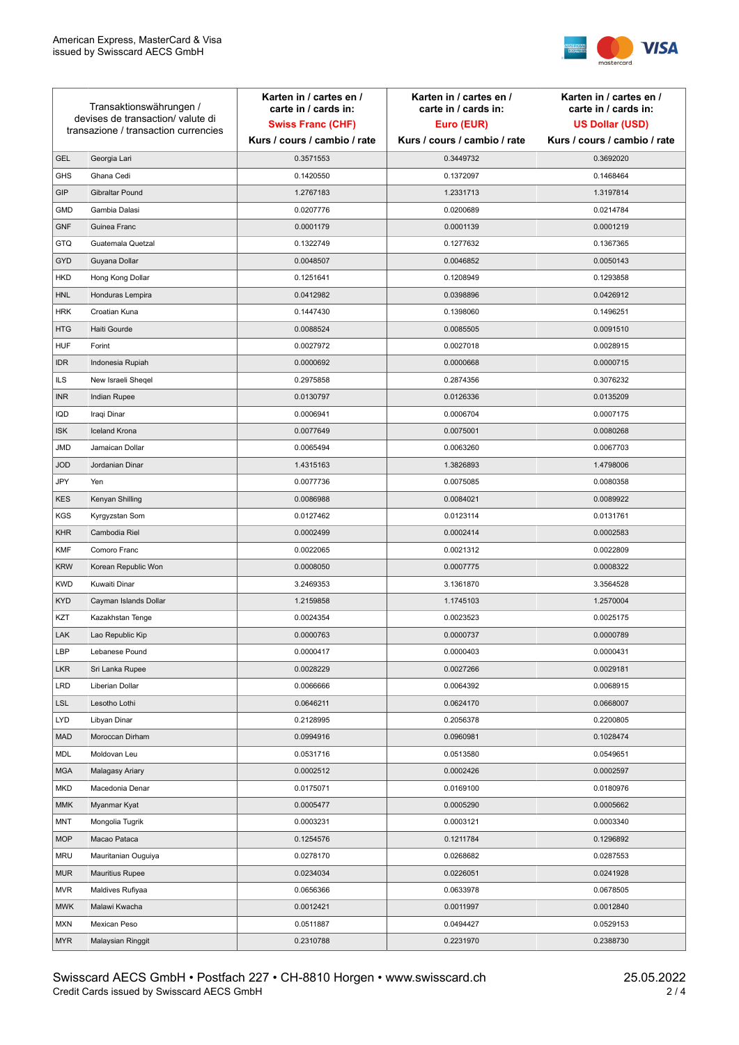

| Transaktionswährungen /<br>devises de transaction/valute di<br>transazione / transaction currencies |                        | Karten in / cartes en /<br>carte in / cards in: | Karten in / cartes en /<br>carte in / cards in: | Karten in / cartes en /<br>carte in / cards in: |
|-----------------------------------------------------------------------------------------------------|------------------------|-------------------------------------------------|-------------------------------------------------|-------------------------------------------------|
|                                                                                                     |                        | <b>Swiss Franc (CHF)</b>                        | Euro (EUR)                                      | <b>US Dollar (USD)</b>                          |
|                                                                                                     |                        | Kurs / cours / cambio / rate                    | Kurs / cours / cambio / rate                    | Kurs / cours / cambio / rate                    |
| <b>GEL</b>                                                                                          | Georgia Lari           | 0.3571553                                       | 0.3449732                                       | 0.3692020                                       |
| <b>GHS</b>                                                                                          | Ghana Cedi             | 0.1420550                                       | 0.1372097                                       | 0.1468464                                       |
| GIP                                                                                                 | Gibraltar Pound        | 1.2767183                                       | 1.2331713                                       | 1.3197814                                       |
| <b>GMD</b>                                                                                          | Gambia Dalasi          | 0.0207776                                       | 0.0200689                                       | 0.0214784                                       |
| <b>GNF</b>                                                                                          | Guinea Franc           | 0.0001179                                       | 0.0001139                                       | 0.0001219                                       |
| <b>GTQ</b>                                                                                          | Guatemala Quetzal      | 0.1322749                                       | 0.1277632                                       | 0.1367365                                       |
| GYD                                                                                                 | Guyana Dollar          | 0.0048507                                       | 0.0046852                                       | 0.0050143                                       |
| HKD                                                                                                 | Hong Kong Dollar       | 0.1251641                                       | 0.1208949                                       | 0.1293858                                       |
| <b>HNL</b>                                                                                          | Honduras Lempira       | 0.0412982                                       | 0.0398896                                       | 0.0426912                                       |
| <b>HRK</b>                                                                                          | Croatian Kuna          | 0.1447430                                       | 0.1398060                                       | 0.1496251                                       |
| <b>HTG</b>                                                                                          | Haiti Gourde           | 0.0088524                                       | 0.0085505                                       | 0.0091510                                       |
| <b>HUF</b>                                                                                          | Forint                 | 0.0027972                                       | 0.0027018                                       | 0.0028915                                       |
| <b>IDR</b>                                                                                          | Indonesia Rupiah       | 0.0000692                                       | 0.0000668                                       | 0.0000715                                       |
| <b>ILS</b>                                                                                          | New Israeli Sheqel     | 0.2975858                                       | 0.2874356                                       | 0.3076232                                       |
| <b>INR</b>                                                                                          | Indian Rupee           | 0.0130797                                       | 0.0126336                                       | 0.0135209                                       |
| IQD                                                                                                 | Iraqi Dinar            | 0.0006941                                       | 0.0006704                                       | 0.0007175                                       |
| <b>ISK</b>                                                                                          | <b>Iceland Krona</b>   | 0.0077649                                       | 0.0075001                                       | 0.0080268                                       |
| <b>JMD</b>                                                                                          | Jamaican Dollar        | 0.0065494                                       | 0.0063260                                       | 0.0067703                                       |
| <b>JOD</b>                                                                                          | Jordanian Dinar        | 1.4315163                                       | 1.3826893                                       | 1.4798006                                       |
| JPY                                                                                                 | Yen                    | 0.0077736                                       | 0.0075085                                       | 0.0080358                                       |
| <b>KES</b>                                                                                          | Kenyan Shilling        | 0.0086988                                       | 0.0084021                                       | 0.0089922                                       |
| <b>KGS</b>                                                                                          | Kyrgyzstan Som         | 0.0127462                                       | 0.0123114                                       | 0.0131761                                       |
| <b>KHR</b>                                                                                          | Cambodia Riel          | 0.0002499                                       | 0.0002414                                       | 0.0002583                                       |
| <b>KMF</b>                                                                                          | Comoro Franc           | 0.0022065                                       | 0.0021312                                       | 0.0022809                                       |
| <b>KRW</b>                                                                                          | Korean Republic Won    | 0.0008050                                       | 0.0007775                                       | 0.0008322                                       |
| <b>KWD</b>                                                                                          | Kuwaiti Dinar          | 3.2469353                                       | 3.1361870                                       | 3.3564528                                       |
| <b>KYD</b>                                                                                          | Cayman Islands Dollar  | 1.2159858                                       | 1.1745103                                       | 1.2570004                                       |
| KZT                                                                                                 | Kazakhstan Tenge       | 0.0024354                                       | 0.0023523                                       | 0.0025175                                       |
| LAK                                                                                                 | Lao Republic Kip       | 0.0000763                                       | 0.0000737                                       | 0.0000789                                       |
| LBP                                                                                                 | Lebanese Pound         | 0.0000417                                       | 0.0000403                                       | 0.0000431                                       |
| <b>LKR</b>                                                                                          | Sri Lanka Rupee        | 0.0028229                                       | 0.0027266                                       | 0.0029181                                       |
| <b>LRD</b>                                                                                          | Liberian Dollar        | 0.0066666                                       | 0.0064392                                       | 0.0068915                                       |
| <b>LSL</b>                                                                                          | Lesotho Lothi          | 0.0646211                                       | 0.0624170                                       | 0.0668007                                       |
| LYD                                                                                                 | Libyan Dinar           | 0.2128995                                       | 0.2056378                                       | 0.2200805                                       |
| <b>MAD</b>                                                                                          | Moroccan Dirham        | 0.0994916                                       | 0.0960981                                       | 0.1028474                                       |
| MDL                                                                                                 | Moldovan Leu           | 0.0531716                                       | 0.0513580                                       | 0.0549651                                       |
| <b>MGA</b>                                                                                          | Malagasy Ariary        | 0.0002512                                       | 0.0002426                                       | 0.0002597                                       |
| MKD                                                                                                 | Macedonia Denar        | 0.0175071                                       | 0.0169100                                       | 0.0180976                                       |
| <b>MMK</b>                                                                                          | Myanmar Kyat           | 0.0005477                                       | 0.0005290                                       | 0.0005662                                       |
| <b>MNT</b>                                                                                          | Mongolia Tugrik        | 0.0003231                                       | 0.0003121                                       | 0.0003340                                       |
| <b>MOP</b>                                                                                          | Macao Pataca           | 0.1254576                                       | 0.1211784                                       | 0.1296892                                       |
| <b>MRU</b>                                                                                          | Mauritanian Ouguiya    | 0.0278170                                       | 0.0268682                                       | 0.0287553                                       |
| <b>MUR</b>                                                                                          | <b>Mauritius Rupee</b> | 0.0234034                                       | 0.0226051                                       | 0.0241928                                       |
| <b>MVR</b>                                                                                          | Maldives Rufiyaa       | 0.0656366                                       | 0.0633978                                       | 0.0678505                                       |
| <b>MWK</b>                                                                                          | Malawi Kwacha          | 0.0012421                                       | 0.0011997                                       | 0.0012840                                       |
| <b>MXN</b>                                                                                          | Mexican Peso           | 0.0511887                                       | 0.0494427                                       | 0.0529153                                       |
| <b>MYR</b>                                                                                          | Malaysian Ringgit      | 0.2310788                                       | 0.2231970                                       | 0.2388730                                       |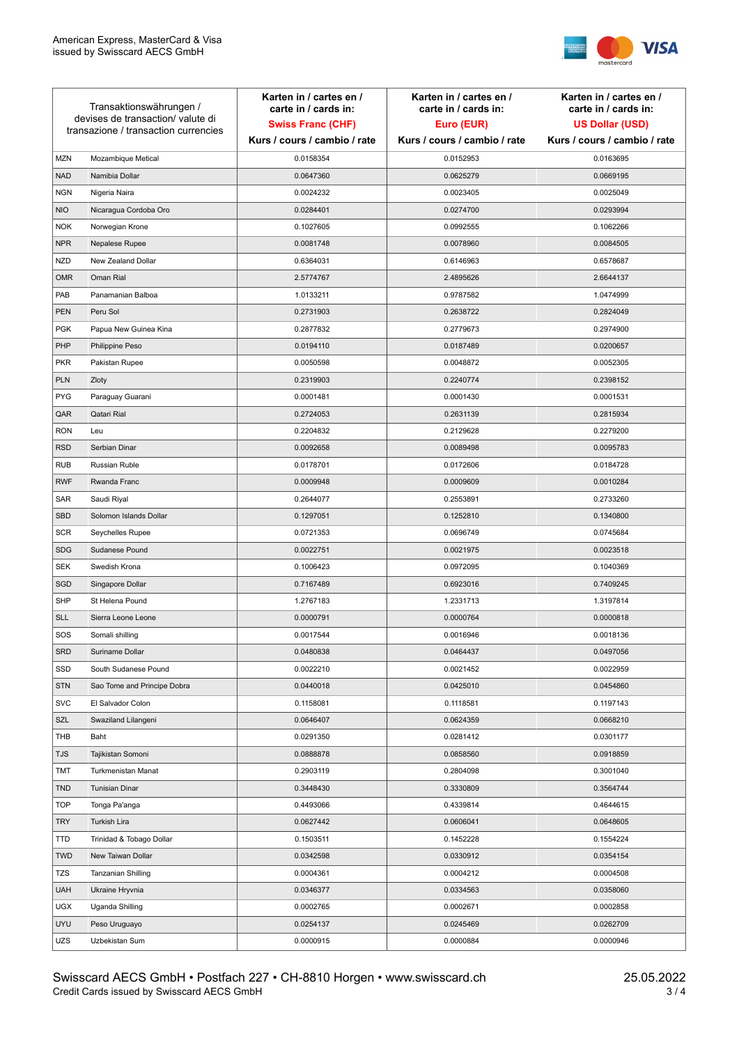

| Transaktionswährungen /<br>devises de transaction/valute di<br>transazione / transaction currencies |                             | Karten in / cartes en /<br>carte in / cards in:<br><b>Swiss Franc (CHF)</b><br>Kurs / cours / cambio / rate | Karten in / cartes en /<br>carte in / cards in:<br>Euro (EUR)<br>Kurs / cours / cambio / rate | Karten in / cartes en /<br>carte in / cards in:<br><b>US Dollar (USD)</b><br>Kurs / cours / cambio / rate |
|-----------------------------------------------------------------------------------------------------|-----------------------------|-------------------------------------------------------------------------------------------------------------|-----------------------------------------------------------------------------------------------|-----------------------------------------------------------------------------------------------------------|
|                                                                                                     |                             |                                                                                                             |                                                                                               |                                                                                                           |
| <b>MZN</b>                                                                                          | Mozambique Metical          | 0.0158354                                                                                                   | 0.0152953                                                                                     | 0.0163695                                                                                                 |
| <b>NAD</b>                                                                                          | Namibia Dollar              | 0.0647360                                                                                                   | 0.0625279                                                                                     | 0.0669195                                                                                                 |
| <b>NGN</b>                                                                                          | Nigeria Naira               | 0.0024232                                                                                                   | 0.0023405                                                                                     | 0.0025049                                                                                                 |
| <b>NIO</b>                                                                                          | Nicaragua Cordoba Oro       | 0.0284401                                                                                                   | 0.0274700                                                                                     | 0.0293994                                                                                                 |
| <b>NOK</b>                                                                                          | Norwegian Krone             | 0.1027605                                                                                                   | 0.0992555                                                                                     | 0.1062266                                                                                                 |
| <b>NPR</b>                                                                                          | Nepalese Rupee              | 0.0081748                                                                                                   | 0.0078960                                                                                     | 0.0084505                                                                                                 |
| <b>NZD</b>                                                                                          | New Zealand Dollar          | 0.6364031                                                                                                   | 0.6146963                                                                                     | 0.6578687                                                                                                 |
| <b>OMR</b>                                                                                          | Oman Rial                   | 2.5774767                                                                                                   | 2.4895626                                                                                     | 2.6644137                                                                                                 |
| PAB                                                                                                 | Panamanian Balboa           | 1.0133211                                                                                                   | 0.9787582                                                                                     | 1.0474999                                                                                                 |
| <b>PEN</b>                                                                                          | Peru Sol                    | 0.2731903                                                                                                   | 0.2638722                                                                                     | 0.2824049                                                                                                 |
| <b>PGK</b>                                                                                          | Papua New Guinea Kina       | 0.2877832                                                                                                   | 0.2779673                                                                                     | 0.2974900                                                                                                 |
| PHP                                                                                                 | Philippine Peso             | 0.0194110                                                                                                   | 0.0187489                                                                                     | 0.0200657                                                                                                 |
| <b>PKR</b>                                                                                          | Pakistan Rupee              | 0.0050598                                                                                                   | 0.0048872                                                                                     | 0.0052305                                                                                                 |
| <b>PLN</b>                                                                                          | Zloty                       | 0.2319903                                                                                                   | 0.2240774                                                                                     | 0.2398152                                                                                                 |
| <b>PYG</b>                                                                                          | Paraguay Guarani            | 0.0001481                                                                                                   | 0.0001430                                                                                     | 0.0001531                                                                                                 |
| QAR                                                                                                 | Qatari Rial                 | 0.2724053                                                                                                   | 0.2631139                                                                                     | 0.2815934                                                                                                 |
| <b>RON</b>                                                                                          | Leu                         | 0.2204832                                                                                                   | 0.2129628                                                                                     | 0.2279200                                                                                                 |
| <b>RSD</b>                                                                                          | Serbian Dinar               | 0.0092658                                                                                                   | 0.0089498                                                                                     | 0.0095783                                                                                                 |
| <b>RUB</b>                                                                                          | Russian Ruble               | 0.0178701                                                                                                   | 0.0172606                                                                                     | 0.0184728                                                                                                 |
| <b>RWF</b>                                                                                          | Rwanda Franc                | 0.0009948                                                                                                   | 0.0009609                                                                                     | 0.0010284                                                                                                 |
| SAR                                                                                                 | Saudi Riyal                 | 0.2644077                                                                                                   | 0.2553891                                                                                     | 0.2733260                                                                                                 |
| <b>SBD</b>                                                                                          | Solomon Islands Dollar      | 0.1297051                                                                                                   | 0.1252810                                                                                     | 0.1340800                                                                                                 |
| <b>SCR</b>                                                                                          | Seychelles Rupee            | 0.0721353                                                                                                   | 0.0696749                                                                                     | 0.0745684                                                                                                 |
| <b>SDG</b>                                                                                          | Sudanese Pound              | 0.0022751                                                                                                   | 0.0021975                                                                                     | 0.0023518                                                                                                 |
| <b>SEK</b>                                                                                          | Swedish Krona               | 0.1006423                                                                                                   | 0.0972095                                                                                     | 0.1040369                                                                                                 |
| SGD                                                                                                 | Singapore Dollar            | 0.7167489                                                                                                   | 0.6923016                                                                                     | 0.7409245                                                                                                 |
| <b>SHP</b>                                                                                          | St Helena Pound             | 1.2767183                                                                                                   | 1.2331713                                                                                     | 1.3197814                                                                                                 |
| <b>SLL</b>                                                                                          | Sierra Leone Leone          | 0.0000791                                                                                                   | 0.0000764                                                                                     | 0.0000818                                                                                                 |
| SOS                                                                                                 | Somali shilling             | 0.0017544                                                                                                   | 0.0016946                                                                                     | 0.0018136                                                                                                 |
| SRD                                                                                                 | Suriname Dollar             | 0.0480838                                                                                                   | 0.0464437                                                                                     | 0.0497056                                                                                                 |
| SSD                                                                                                 | South Sudanese Pound        | 0.0022210                                                                                                   | 0.0021452                                                                                     | 0.0022959                                                                                                 |
| <b>STN</b>                                                                                          | Sao Tome and Principe Dobra | 0.0440018                                                                                                   | 0.0425010                                                                                     | 0.0454860                                                                                                 |
| <b>SVC</b>                                                                                          | El Salvador Colon           | 0.1158081                                                                                                   | 0.1118581                                                                                     | 0.1197143                                                                                                 |
| SZL                                                                                                 | Swaziland Lilangeni         | 0.0646407                                                                                                   | 0.0624359                                                                                     | 0.0668210                                                                                                 |
| THB                                                                                                 | Baht                        | 0.0291350                                                                                                   | 0.0281412                                                                                     | 0.0301177                                                                                                 |
| TJS                                                                                                 | Tajikistan Somoni           | 0.0888878                                                                                                   | 0.0858560                                                                                     | 0.0918859                                                                                                 |
| TMT                                                                                                 | Turkmenistan Manat          | 0.2903119                                                                                                   | 0.2804098                                                                                     | 0.3001040                                                                                                 |
| <b>TND</b>                                                                                          | <b>Tunisian Dinar</b>       | 0.3448430                                                                                                   | 0.3330809                                                                                     | 0.3564744                                                                                                 |
| <b>TOP</b>                                                                                          | Tonga Pa'anga               | 0.4493066                                                                                                   | 0.4339814                                                                                     | 0.4644615                                                                                                 |
| <b>TRY</b>                                                                                          | Turkish Lira                | 0.0627442                                                                                                   | 0.0606041                                                                                     | 0.0648605                                                                                                 |
| TTD                                                                                                 | Trinidad & Tobago Dollar    | 0.1503511                                                                                                   | 0.1452228                                                                                     | 0.1554224                                                                                                 |
| <b>TWD</b>                                                                                          | New Taiwan Dollar           | 0.0342598                                                                                                   | 0.0330912                                                                                     | 0.0354154                                                                                                 |
| <b>TZS</b>                                                                                          | Tanzanian Shilling          | 0.0004361                                                                                                   | 0.0004212                                                                                     | 0.0004508                                                                                                 |
| <b>UAH</b>                                                                                          | Ukraine Hryvnia             | 0.0346377                                                                                                   | 0.0334563                                                                                     | 0.0358060                                                                                                 |
| <b>UGX</b>                                                                                          | Uganda Shilling             | 0.0002765                                                                                                   | 0.0002671                                                                                     | 0.0002858                                                                                                 |
| <b>UYU</b>                                                                                          | Peso Uruguayo               | 0.0254137                                                                                                   | 0.0245469                                                                                     | 0.0262709                                                                                                 |
| UZS                                                                                                 | Uzbekistan Sum              | 0.0000915                                                                                                   | 0.0000884                                                                                     | 0.0000946                                                                                                 |